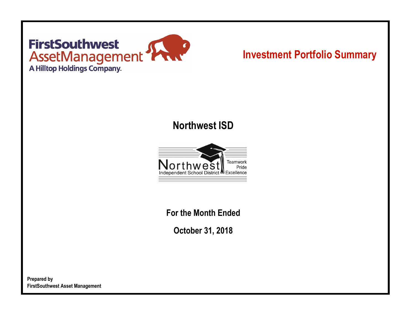# **FirstSouthwest FIFSESOUTNWEST<br>ASSETManagement<br>A Hilltop Holdings Company.**

## **Investment Portfolio Summary**

## **Northwest ISD**



**For the Month Ended**

**October 31, 2018**

**Prepared by FirstSouthwest Asset Management**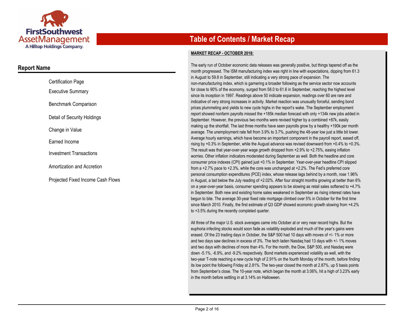

#### **Report Name**

| <b>Certification Page</b>         |
|-----------------------------------|
| Executive Summary                 |
| Benchmark Comparison              |
| Detail of Security Holdings       |
| Change in Value                   |
| Earned Income                     |
| <b>Investment Transactions</b>    |
| Amortization and Accretion        |
| Proiected Fixed Income Cash Flows |

### **Table of Contents / Market Recap**

#### **MARKET RECAP - OCTOBER 2018:**

The early run of October economic data releases was generally positive, but things tapered off as the month progressed. The ISM manufacturing index was right in line with expectations, dipping from 61.3 in August to 59.8 in September, still indicating a very strong pace of expansion. The non-manufacturing index, which is garnering a broader following as the service sector now accounts for close to 90% of the economy, surged from 58.0 to 61.6 in September, reaching the highest level since its inception in 1997. Readings above 50 indicate expansion, readings over 60 are rare and indicative of very strong increases in activity. Market reaction was unusually forceful, sending bond prices plummeting and yields to new cycle highs in the report's wake. The September employment report showed nonfarm payrolls missed the +185k median forecast with only +134k new jobs added in September. However, the previous two months were revised higher by a combined +87k, easily making up the shortfall. The last three months have seen payrolls grow by a healthy +190k per month average. The unemployment rate fell from 3.9% to 3.7%, pushing the 48-year low just a little bit lower. Average hourly earnings, which have become an important component in the payroll report, eased off, rising by +0.3% in September, while the August advance was revised downward from +0.4% to +0.3%. The result was that year-over-year wage growth dropped from +2.9% to +2.75%, easing inflation worries. Other inflation indicators moderated during September as well. Both the headline and core consumer price indexes (CPI) gained just +0.1% in September. Year-over-year headline CPI slipped from a +2.7% pace to +2.3%, while the core was unchanged at +2.2%. The Fed's preferred core personal consumption expenditures (PCE) index, whose release lags behind by a month, rose 1.96% in August, a tad below the July reading of +2.02%. After four straight months growing at better than 6% on a year-over-year basis, consumer spending appears to be slowing as retail sales softened to +4.7% in September. Both new and existing home sales weakened in September as rising interest rates have begun to bite. The average 30-year fixed rate mortgage climbed over 5% in October for the first time since March 2010. Finally, the first estimate of Q3 GDP showed economic growth slowing from +4.2% to +3.5% during the recently completed quarter.

All three of the major U.S. stock averages came into October at or very near record highs. But the euphoria infecting stocks would soon fade as volatility exploded and much of the year's gains were erased. Of the 23 trading days in October, the S&P 500 had 10 days with moves of +/- 1% or more and two days saw declines in excess of 3%. The tech laden Nasdaq had 13 days with +/- 1% moves and two days with declines of more than 4%. For the month, the Dow, S&P 500, and Nasdaq were down -5.1%, -6.9%, and -9.2% respectively. Bond markets experienced volatility as well, with the two-year T-note reaching a new cycle high of 2.91% on the fourth Monday of the month, before finding its low point the following Friday at 2.81%. The two-year closed the month at 2.87%, up 5 basis points from September's close. The 10-year note, which began the month at 3.06%, hit a high of 3.23% early in the month before settling in at 3.14% on Halloween.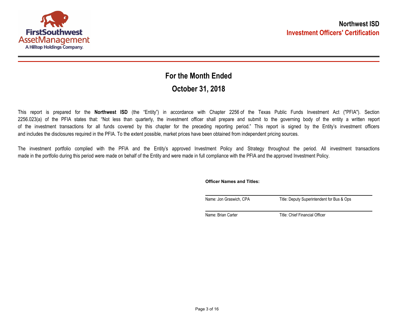

## **October 31, 2018 For the Month Ended**

This report is prepared for the **Northwest ISD** (the "Entity") in accordance with Chapter 2256 of the Texas Public Funds Investment Act ("PFIA"). Section 2256.023(a) of the PFIA states that: "Not less than quarterly, the investment officer shall prepare and submit to the governing body of the entity a written report of the investment transactions for all funds covered by this chapter for the preceding reporting period." This report is signed by the Entity's investment officers and includes the disclosures required in the PFIA. To the extent possible, market prices have been obtained from independent pricing sources.

The investment portfolio complied with the PFIA and the Entity's approved Investment Policy and Strategy throughout the period. All investment transactions made in the portfolio during this period were made on behalf of the Entity and were made in full compliance with the PFIA and the approved Investment Policy.

**Officer Names and Titles:**

Name: Jon Graswich, CPA Title: Deputy Superintendent for Bus & Ops

Name: Brian Carter Title: Chief Financial Officer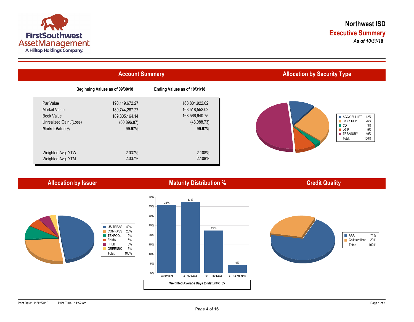

|                                              | <b>Account Summary</b>           |                                  | <b>Allocation by Security Type</b>                  |
|----------------------------------------------|----------------------------------|----------------------------------|-----------------------------------------------------|
|                                              | Beginning Values as of 09/30/18  | Ending Values as of 10/31/18     |                                                     |
| Par Value<br><b>Market Value</b>             | 190,119,672.27<br>189,744,267.27 | 168,801,922.02<br>168,518,552.02 |                                                     |
| <b>Book Value</b><br>Unrealized Gain /(Loss) | 189,805,164.14<br>(60, 896.87)   | 168,566,640.75<br>(48,088.73)    | AGCY BULLET<br><b>BANK DEP</b><br>$\blacksquare$ CD |
| <b>Market Value %</b>                        | 99.97%                           | 99.97%                           | $\blacksquare$ LGIP<br><b>TREASURY</b><br>Total:    |
| Weighted Avg. YTW                            | 2.037%                           | 2.108%                           |                                                     |
| Weighted Avg. YTM                            | 2.037%                           | 2.108%                           |                                                     |

**Allocation by Issuer**

#### **Maturity Distribution %**

#### **Credit Quality**





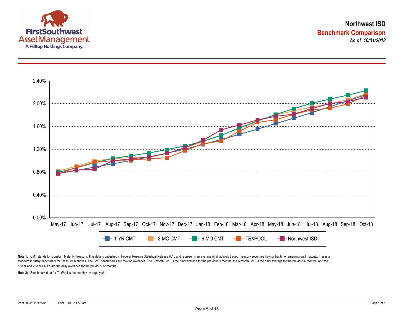



Note 1: CMT stands for Constant Maturity Treasury. This data is published in Federal Reserve Statistical Release H.15 and represents an average of all actively traded Treasury securities having that time remaining until ma standard industry benchmark for Treasury securities. The CMT benchmarks are moving averages. The 3-month CMT is the daily average for the previous 3 months, the 6-month CMT is the daily average for the previous 6 months, a 1-year and 2-year CMT's are the daily averages for the previous 12-months.

**Note 2:** Benchmark data for TexPool is the monthly average yield.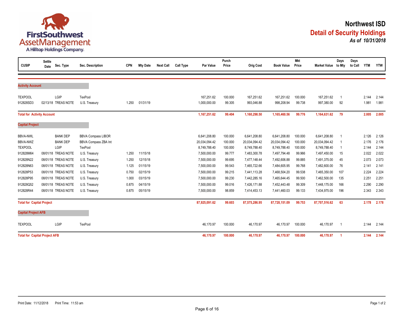

| <b>CUSIP</b>                         | <b>Settle</b><br>Date | Sec. Type           | Sec. Description          | <b>CPN</b> | <b>Mty Date</b> | <b>Next Call</b> | <b>Call Type</b> | Par Value     | Purch<br>Price | <b>Orig Cost</b> | <b>Book Value</b> | <b>Mkt</b><br>Price | Market Value to Mty | Days | Days<br>to Call | <b>YTM</b> | <b>YTW</b> |
|--------------------------------------|-----------------------|---------------------|---------------------------|------------|-----------------|------------------|------------------|---------------|----------------|------------------|-------------------|---------------------|---------------------|------|-----------------|------------|------------|
|                                      |                       |                     |                           |            |                 |                  |                  |               |                |                  |                   |                     |                     |      |                 |            |            |
| <b>Activity Account</b>              |                       |                     |                           |            |                 |                  |                  |               |                |                  |                   |                     |                     |      |                 |            |            |
| <b>TEXPOOL</b>                       |                       | LGIP                | <b>TexPool</b>            |            |                 |                  |                  | 167,251.62    | 100.000        | 167,251.62       | 167,251.62        | 100.000             | 167,251.62          |      |                 | 2.144      | 2.144      |
| 912828SD3                            |                       | 02/13/18 TREAS NOTE | U.S. Treasury             | 1.250      | 01/31/19        |                  |                  | 1,000,000.00  | 99.305         | 993,046.88       | 998,208.94        | 99.738              | 997,380.00          | 92   |                 | 1.981      | 1.981      |
| <b>Total for Activity Account</b>    |                       |                     |                           |            |                 |                  |                  | 1,167,251.62  | 99.404         | 1,160,298.50     | 1,165,460.56      | 99.776              | 1,164,631.62        | 79   |                 | 2.005      | 2.005      |
| <b>Capital Project</b>               |                       |                     |                           |            |                 |                  |                  |               |                |                  |                   |                     |                     |      |                 |            |            |
| <b>BBVA-NWL</b>                      |                       | <b>BANK DEP</b>     | <b>BBVA Compass LIBOR</b> |            |                 |                  |                  | 6,641,208.80  | 100.000        | 6,641,208.80     | 6,641,208.80      | 100.000             | 6,641,208.80        |      |                 | 2.126      | 2.126      |
| BBVA-NWZ                             |                       | <b>BANK DEP</b>     | BBVA Compass ZBA Int      |            |                 |                  |                  | 20,034,094.42 | 100.000        | 20,034,094.42    | 20,034,094.42     | 100.000             | 20,034,094.42       |      |                 | 2.176      | 2.176      |
| <b>TEXPOOL</b>                       |                       | LGIP                | <b>TexPool</b>            |            |                 |                  |                  | 8,749,788.40  | 100.000        | 8,749,788.40     | 8,749,788.40      | 100.000             | 8,749,788.40        |      |                 | 2.144      | 2.144      |
| 912828M64                            |                       | 08/01/18 TREAS NOTE | U.S. Treasury             | 1.250      | 11/15/18        |                  |                  | 7,500,000.00  | 99.777         | 7,483,300.78     | 7,497,794.48      | 99.966              | 7,497,450.00        | 15   |                 | 2.022      | 2.022      |
| 912828N22                            |                       | 08/01/18 TREAS NOTE | U.S. Treasury             | 1.250      | 12/15/18        |                  |                  | 7,500,000.00  | 99.695         | 7.477.148.44     | 7,492,606.88      | 99.885              | 7,491,375.00        | 45   |                 | 2.073      | 2.073      |
| 912828N63                            |                       | 08/01/18 TREAS NOTE | U.S. Treasury             | 1.125      | 01/15/19        |                  |                  | 7,500,000.00  | 99.543         | 7,465,722.66     | 7,484,605.95      | 99.768              | 7,482,600.00        | 76   |                 | 2.141      | 2.141      |
| 912828P53                            |                       | 08/01/18 TREAS NOTE | U.S. Treasury             | 0.750      | 02/15/19        |                  |                  | 7,500,000.00  | 99.215         | 7,441,113.28     | 7,468,504.20      | 99.538              | 7,465,350.00        | 107  |                 | 2.224      | 2.224      |
| 912828P95                            |                       | 08/01/18 TREAS NOTE | U.S. Treasury             | 1.000      | 03/15/19        |                  |                  | 7,500,000.00  | 99.230         | 7,442,285.16     | 7,465,644.45      | 99.500              | 7,462,500.00        | 135  |                 | 2.251      | 2.251      |
| 912828Q52                            |                       | 08/01/18 TREAS NOTE | U.S. Treasury             | 0.875      | 04/15/19        |                  |                  | 7,500,000.00  | 99.016         | 7,426,171.88     | 7,452,443.48      | 99.309              | 7,448,175.00        | 166  |                 | 2.290      | 2.290      |
| 912828R44                            |                       | 08/01/18 TREAS NOTE | U.S. Treasury             | 0.875      | 05/15/19        |                  |                  | 7,500,000.00  | 98.859         | 7,414,453.13     | 7,441,460.03      | 99.133              | 7,434,975.00        | 196  |                 | 2.343      | 2.343      |
| <b>Total for Capital Project</b>     |                       |                     |                           |            |                 |                  |                  | 87,925,091.62 | 99.603         | 87,575,286.95    | 87,728,151.09     | 99.753              | 87,707,516.62       | 63   |                 | 2.178      | 2.178      |
| <b>Capital Project AFB</b>           |                       |                     |                           |            |                 |                  |                  |               |                |                  |                   |                     |                     |      |                 |            |            |
| <b>TEXPOOL</b>                       |                       | LGIP                | <b>TexPool</b>            |            |                 |                  |                  | 46,170.97     | 100.000        | 46,170.97        | 46,170.97         | 100.000             | 46,170.97           | - 1  |                 | 2.144      | 2.144      |
| <b>Total for Capital Project AFB</b> |                       |                     |                           |            |                 |                  |                  | 46,170.97     | 100.000        | 46,170.97        | 46,170.97         | 100.000             | 46,170.97           | -1   |                 | 2.144      | 2.144      |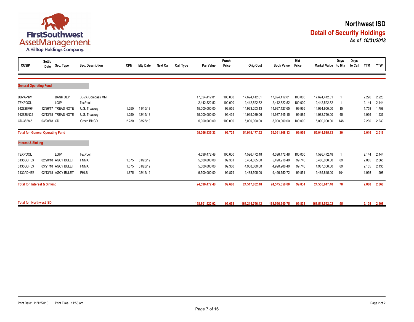

| <b>CUSIP</b>                   | Settle<br>Date                          | Sec. Type       | Sec. Description       | <b>CPN</b> | <b>Mty Date</b> | <b>Next Call</b> | Call Type | Par Value      | Purch<br>Price | <b>Orig Cost</b> | <b>Book Value</b> | <b>Mkt</b><br>Price | <b>Market Value</b> | Days<br>to Mty | Days<br>to Call | <b>YTM</b> | <b>YTW</b> |
|--------------------------------|-----------------------------------------|-----------------|------------------------|------------|-----------------|------------------|-----------|----------------|----------------|------------------|-------------------|---------------------|---------------------|----------------|-----------------|------------|------------|
|                                |                                         |                 |                        |            |                 |                  |           |                |                |                  |                   |                     |                     |                |                 |            |            |
| <b>General Operating Fund</b>  |                                         |                 |                        |            |                 |                  |           |                |                |                  |                   |                     |                     |                |                 |            |            |
| <b>BBVA-NW</b>                 |                                         | <b>BANK DEP</b> | <b>BBVA Compass MM</b> |            |                 |                  |           | 17,624,412.81  | 100.000        | 17,624,412.81    | 17,624,412.81     | 100.000             | 17,624,412.81       |                |                 | 2.226      | 2.226      |
| <b>TEXPOOL</b>                 | LGIP                                    |                 | <b>TexPool</b>         |            |                 |                  |           | 2,442,522.52   | 100.000        | 2,442,522.52     | 2,442,522.52      | 100.000             | 2,442,522.52        |                |                 | 2.144      | 2.144      |
| 912828M64                      | 12/26/17 TREAS NOTE                     |                 | U.S. Treasury          | 1.250      | 11/15/18        |                  |           | 15,000,000.00  | 99.555         | 14,933,203.13    | 14,997,127.65     | 99.966              | 14,994,900.00       | 15             |                 | 1.758      | 1.758      |
| 912828N22                      | 02/13/18 TREAS NOTE                     |                 | U.S. Treasury          | 1.250      | 12/15/18        |                  |           | 15,000,000.00  | 99.434         | 14,915,039.06    | 14,987,745.15     | 99.885              | 14,982,750.00       | 45             |                 | 1.936      | 1.936      |
| CD-3828-5                      | 03/28/18 CD                             |                 | Green Bk CD            | 2.230      | 03/28/19        |                  |           | 5,000,000.00   | 100.000        | 5,000,000.00     | 5,000,000.00      | 100.000             | 5,000,000.00        | 148            |                 | 2.230      | 2.230      |
|                                | <b>Total for General Operating Fund</b> |                 |                        |            |                 |                  |           | 55,066,935.33  | 99.724         | 54,915,177.52    | 55,051,808.13     | 99.959              | 55,044,585.33       | 30             |                 | 2.016      | 2.016      |
| <b>Interest &amp; Sinking</b>  |                                         |                 |                        |            |                 |                  |           |                |                |                  |                   |                     |                     |                |                 |            |            |
| <b>TEXPOOL</b>                 | LGIP                                    |                 | TexPool                |            |                 |                  |           | 4,596,472.48   | 100.000        | 4,596,472.48     | 4,596,472.48      | 100.000             | 4,596,472.48        |                |                 | 2.144      | 2.144      |
| 3135G0H63                      | 02/20/18 AGCY BULET                     |                 | <b>FNMA</b>            | 1.375      | 01/28/19        |                  |           | 5,500,000.00   | 99.361         | 5,464,855.00     | 5,490,918.40      | 99.746              | 5,486,030.00        | 89             |                 | 2.065      | 2.065      |
| 3135G0H63                      | 03/21/18 AGCY BULET                     |                 | <b>FNMA</b>            | 1.375      | 01/28/19        |                  |           | 5,000,000.00   | 99.360         | 4,968,000.00     | 4,990,908.40      | 99.746              | 4,987,300.00        | 89             |                 | 2.135      | 2.135      |
| 3130ADNE8                      | 02/13/18 AGCY BULET                     |                 | <b>FHLB</b>            | 1.875      | 02/12/19        |                  |           | 9,500,000.00   | 99.879         | 9,488,505.00     | 9,496,750.72      | 99.851              | 9,485,845.00        | 104            |                 | 1.998      | 1.998      |
|                                | <b>Total for Interest &amp; Sinking</b> |                 |                        |            |                 |                  |           | 24,596,472.48  | 99.680         | 24,517,832.48    | 24,575,050.00     | 99.834              | 24,555,647.48       | 78             |                 | 2.068      | 2.068      |
| <b>Total for Northwest ISD</b> |                                         |                 |                        |            |                 |                  |           | 168.801.922.02 | 99.653         | 168,214,766.42   | 168.566.640.75    | 99.833              | 168.518.552.02      | 55             |                 | 2.108      | 2.108      |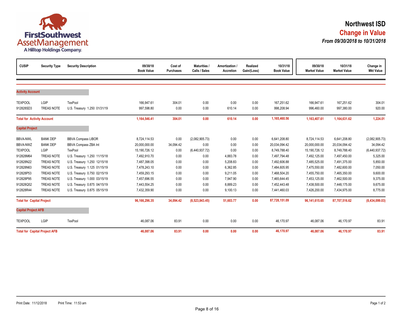

| <b>CUSIP</b>                      | <b>Security Type</b>                 | <b>Security Description</b>  | 09/30/18<br><b>Book Value</b> | Cost of<br><b>Purchases</b> | <b>Maturities /</b><br>Calls / Sales | Amortization /<br>Accretion | Realized<br>Gain/(Loss) | 10/31/18<br><b>Book Value</b> | 09/30/18<br><b>Market Value</b> | 10/31/18<br><b>Market Value</b> | Change in<br><b>Mkt Value</b> |
|-----------------------------------|--------------------------------------|------------------------------|-------------------------------|-----------------------------|--------------------------------------|-----------------------------|-------------------------|-------------------------------|---------------------------------|---------------------------------|-------------------------------|
|                                   |                                      |                              |                               |                             |                                      |                             |                         |                               |                                 |                                 |                               |
| <b>Activity Account</b>           |                                      |                              |                               |                             |                                      |                             |                         |                               |                                 |                                 |                               |
| <b>TEXPOOL</b>                    | LGIP                                 | TexPool                      | 166,947.61                    | 304.01                      | 0.00                                 | 0.00                        | 0.00                    | 167,251.62                    | 166,947.61                      | 167,251.62                      | 304.01                        |
| 912828SD3                         | <b>TREAS NOTE</b>                    | U.S. Treasury 1.250 01/31/19 | 997,598.80                    | 0.00                        | 0.00                                 | 610.14                      | 0.00                    | 998,208.94                    | 996,460.00                      | 997,380.00                      | 920.00                        |
| <b>Total for Activity Account</b> |                                      |                              | 1,164,546.41                  | 304.01                      | 0.00                                 | 610.14                      | 0.00                    | 1,165,460.56                  | 1,163,407.61                    | 1,164,631.62                    | 1,224.01                      |
| <b>Capital Project</b>            |                                      |                              |                               |                             |                                      |                             |                         |                               |                                 |                                 |                               |
| <b>BBVA-NWL</b>                   | <b>BANK DEP</b>                      | <b>BBVA Compass LIBOR</b>    | 8,724,114.53                  | 0.00                        | (2,082,905.73)                       | 0.00                        | 0.00                    | 6,641,208.80                  | 8,724,114.53                    | 6,641,208.80                    | (2,082,905.73)                |
| <b>BBVA-NWZ</b>                   | <b>BANK DEP</b>                      | BBVA Compass ZBA Int         | 20.000.000.00                 | 34,094.42                   | 0.00                                 | 0.00                        | 0.00                    | 20,034,094.42                 | 20,000,000.00                   | 20,034,094.42                   | 34,094.42                     |
| <b>TEXPOOL</b>                    | LGIP                                 | TexPool                      | 15,190,726.12                 | 0.00                        | (6,440,937.72)                       | 0.00                        | 0.00                    | 8,749,788.40                  | 15,190,726.12                   | 8,749,788.40                    | (6,440,937.72)                |
| 912828M64                         | <b>TREAS NOTE</b>                    | U.S. Treasury 1.250 11/15/18 | 7,492,910.70                  | 0.00                        | 0.00                                 | 4,883.78                    | 0.00                    | 7,497,794.48                  | 7,492,125.00                    | 7,497,450.00                    | 5,325.00                      |
| 912828N22                         | <b>TREAS NOTE</b>                    | U.S. Treasury 1.250 12/15/18 | 7,487,398.05                  | 0.00                        | 0.00                                 | 5,208.83                    | 0.00                    | 7,492,606.88                  | 7,485,525.00                    | 7,491,375.00                    | 5,850.00                      |
| 912828N63                         | <b>TREAS NOTE</b>                    | U.S. Treasury 1.125 01/15/19 | 7,478,243.10                  | 0.00                        | 0.00                                 | 6,362.85                    | 0.00                    | 7,484,605.95                  | 7,475,550.00                    | 7,482,600.00                    | 7,050.00                      |
| 912828P53                         | <b>TREAS NOTE</b>                    | U.S. Treasury 0.750 02/15/19 | 7,459,293.15                  | 0.00                        | 0.00                                 | 9,211.05                    | 0.00                    | 7,468,504.20                  | 7,455,750.00                    | 7,465,350.00                    | 9,600.00                      |
| 912828P95                         | <b>TREAS NOTE</b>                    | U.S. Treasury 1.000 03/15/19 | 7,457,696.55                  | 0.00                        | 0.00                                 | 7,947.90                    | 0.00                    | 7,465,644.45                  | 7,453,125.00                    | 7,462,500.00                    | 9,375.00                      |
| 912828Q52                         | <b>TREAS NOTE</b>                    | U.S. Treasury 0.875 04/15/19 | 7,443,554.25                  | 0.00                        | 0.00                                 | 8,889.23                    | 0.00                    | 7,452,443.48                  | 7,438,500.00                    | 7,448,175.00                    | 9,675.00                      |
| 912828R44                         | <b>TREAS NOTE</b>                    | U.S. Treasury 0.875 05/15/19 | 7,432,359.90                  | 0.00                        | 0.00                                 | 9,100.13                    | 0.00                    | 7,441,460.03                  | 7,426,200.00                    | 7,434,975.00                    | 8,775.00                      |
| <b>Total for Capital Project</b>  |                                      |                              | 96,166,296.35                 | 34,094.42                   | (8,523,843.45)                       | 51,603.77                   | 0.00                    | 87,728,151.09                 | 96,141,615.65                   | 87,707,516.62                   | (8,434,099.03)                |
| <b>Capital Project AFB</b>        |                                      |                              |                               |                             |                                      |                             |                         |                               |                                 |                                 |                               |
| <b>TEXPOOL</b>                    | LGIP                                 | TexPool                      | 46.087.06                     | 83.91                       | 0.00                                 | 0.00                        | 0.00                    | 46,170.97                     | 46.087.06                       | 46.170.97                       | 83.91                         |
|                                   | <b>Total for Capital Project AFB</b> |                              | 46,087.06                     | 83.91                       | 0.00                                 | 0.00                        | 0.00                    | 46,170.97                     | 46,087.06                       | 46,170.97                       | 83.91                         |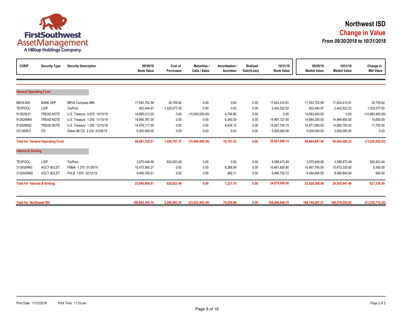

| <b>CUSIP</b>                            | <b>Security Type</b>                    | <b>Security Description</b>  | 09/30/18<br><b>Book Value</b> | Cost of<br><b>Purchases</b> | <b>Maturities /</b><br>Calls / Sales | Amortization /<br>Accretion | Realized<br>Gain/(Loss) | 10/31/18<br><b>Book Value</b> | 09/30/18<br><b>Market Value</b> | 10/31/18<br><b>Market Value</b> | Change in<br><b>Mkt Value</b> |
|-----------------------------------------|-----------------------------------------|------------------------------|-------------------------------|-----------------------------|--------------------------------------|-----------------------------|-------------------------|-------------------------------|---------------------------------|---------------------------------|-------------------------------|
|                                         |                                         |                              |                               |                             |                                      |                             |                         |                               |                                 |                                 |                               |
| <b>General Operating Fund</b>           |                                         |                              |                               |                             |                                      |                             |                         |                               |                                 |                                 |                               |
| <b>BBVA-NW</b>                          | <b>BANK DEP</b>                         | <b>BBVA Compass MM</b>       | 17,593,702.99                 | 30,709.82                   | 0.00                                 | 0.00                        | 0.00                    | 17,624,412.81                 | 17,593,702.99                   | 17,624,412.81                   | 30,709.82                     |
| <b>TEXPOOL</b>                          | LGIP                                    | TexPool                      | 922,444.97                    | 1,520,077.55                | 0.00                                 | 0.00                        | 0.00                    | 2,442,522.52                  | 922,444.97                      | 2,442,522.52                    | 1,520,077.55                  |
| 912828L81                               | <b>TREAS NOTE</b>                       | U.S. Treasury 0.875 10/15/18 | 14,995,213.20                 | 0.00                        | (15,000,000.00)                      | 4,786.80                    | 0.00                    | 0.00                          | 14,993,400.00                   | 0.00                            | (14,993,400.00)               |
| 912828M64                               | <b>TREAS NOTE</b>                       | U.S. Treasury 1.250 11/15/18 | 14,990,767.35                 | 0.00                        | 0.00                                 | 6,360.30                    | 0.00                    | 14,997,127.65                 | 14,984,250.00                   | 14,994,900.00                   | 10,650.00                     |
| 912828N22                               | <b>TREAS NOTE</b>                       | U.S. Treasury 1.250 12/15/18 | 14,979,111.00                 | 0.00                        | 0.00                                 | 8,634.15                    | 0.00                    | 14,987,745.15                 | 14,971,050.00                   | 14,982,750.00                   | 11,700.00                     |
| CD-3828-5                               | CD                                      | Green Bk CD 2.230 03/28/19   | 5,000,000.00                  | 0.00                        | 0.00                                 | 0.00                        | 0.00                    | 5,000,000.00                  | 5,000,000.00                    | 5,000,000.00                    | 0.00                          |
|                                         | <b>Total for General Operating Fund</b> |                              | 68,481,239.51                 | 1,550,787.37                | (15,000,000.00)                      | 19,781.25                   | 0.00                    | 55,051,808.13                 | 68,464,847.96                   | 55,044,585.33                   | (13, 420, 262.63)             |
| <b>Interest &amp; Sinking</b>           |                                         |                              |                               |                             |                                      |                             |                         |                               |                                 |                                 |                               |
| <b>TEXPOOL</b>                          | LGIP                                    | TexPool                      | 3,975,648.99                  | 620,823.49                  | 0.00                                 | 0.00                        | 0.00                    | 4,596,472.48                  | 3,975,648.99                    | 4,596,472.48                    | 620,823.49                    |
| 3135G0H63                               | <b>AGCY BULET</b>                       | FNMA 1.375 01/28/19          | 10,475,560.21                 | 0.00                        | 0.00                                 | 6,266.59                    | 0.00                    | 10,481,826.80                 | 10,467,765.00                   | 10,473,330.00                   | 5,565.00                      |
| 3130ADNE8                               | <b>AGCY BULET</b>                       | FHLB 1.875 02/12/19          | 9,495,785.61                  | 0.00                        | 0.00                                 | 965.11                      | 0.00                    | 9,496,750.72                  | 9,484,895.00                    | 9,485,845.00                    | 950.00                        |
| <b>Total for Interest &amp; Sinking</b> |                                         |                              | 23,946,994.81                 | 620,823.49                  | 0.00                                 | 7,231.70                    | 0.00                    | 24,575,050.00                 | 23,928,308.99                   | 24,555,647.48                   | 627,338.49                    |
| <b>Total for Northwest ISD</b>          |                                         |                              | 189.805.164.14                | 2.206.093.20                | (23.523.843.45)                      | 79.226.86                   | 0.00                    | 168,566,640.75                | 189.744.267.27                  | 168.518.552.02                  | (21, 225, 715.25)             |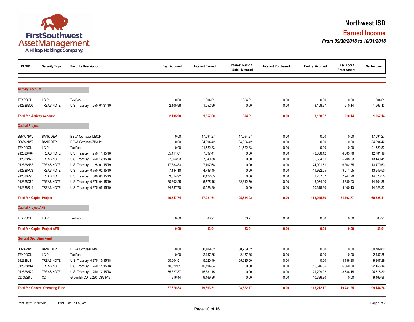

| <b>CUSIP</b>                      | <b>Security Type</b>                    | <b>Security Description</b>  | Beg. Accrued | <b>Interest Earned</b> | Interest Rec'd /<br>Sold / Matured | <b>Interest Purchased</b> | <b>Ending Accrued</b> | Disc Accr /<br><b>Prem Amort</b> | Net Income |
|-----------------------------------|-----------------------------------------|------------------------------|--------------|------------------------|------------------------------------|---------------------------|-----------------------|----------------------------------|------------|
|                                   |                                         |                              |              |                        |                                    |                           |                       |                                  |            |
| <b>Activity Account</b>           |                                         |                              |              |                        |                                    |                           |                       |                                  |            |
| <b>TEXPOOL</b>                    | LGIP                                    | <b>TexPool</b>               | 0.00         | 304.01                 | 304.01                             | 0.00                      | 0.00                  | 0.00                             | 304.01     |
| 912828SD3                         | TREAS NOTE                              | U.S. Treasury 1.250 01/31/19 | 2,105.98     | 1,052.99               | 0.00                               | 0.00                      | 3,158.97              | 610.14                           | 1,663.13   |
| <b>Total for Activity Account</b> |                                         |                              | 2,105.98     | 1,357.00               | 304.01                             | 0.00                      | 3,158.97              | 610.14                           | 1,967.14   |
| <b>Capital Project</b>            |                                         |                              |              |                        |                                    |                           |                       |                                  |            |
| <b>BBVA-NWL</b>                   | <b>BANK DEP</b>                         | <b>BBVA Compass LIBOR</b>    | 0.00         | 17,094.27              | 17,094.27                          | 0.00                      | 0.00                  | 0.00                             | 17,094.27  |
| <b>BBVA-NWZ</b>                   | <b>BANK DEP</b>                         | BBVA Compass ZBA Int         | 0.00         | 34,094.42              | 34,094.42                          | 0.00                      | 0.00                  | 0.00                             | 34,094.42  |
| <b>TEXPOOL</b>                    | LGIP                                    | <b>TexPool</b>               | 0.00         | 21,522.83              | 21,522.83                          | 0.00                      | 0.00                  | 0.00                             | 21,522.83  |
| 912828M64                         | TREAS NOTE                              | U.S. Treasury 1.250 11/15/18 | 35,411.01    | 7,897.41               | 0.00                               | 0.00                      | 43,308.42             | 4,883.78                         | 12,781.19  |
| 912828N22                         | TREAS NOTE                              | U.S. Treasury 1.250 12/15/18 | 27,663.93    | 7,940.58               | 0.00                               | 0.00                      | 35,604.51             | 5,208.83                         | 13,149.41  |
| 912828N63                         | TREAS NOTE                              | U.S. Treasury 1.125 01/15/19 | 17,883.83    | 7,107.68               | 0.00                               | 0.00                      | 24,991.51             | 6,362.85                         | 13,470.53  |
| 912828P53                         | <b>TREAS NOTE</b>                       | U.S. Treasury 0.750 02/15/19 | 7,184.10     | 4,738.45               | 0.00                               | 0.00                      | 11,922.55             | 9,211.05                         | 13,949.50  |
| 912828P95                         | TREAS NOTE                              | U.S. Treasury 1.000 03/15/19 | 3,314.92     | 6,422.65               | 0.00                               | 0.00                      | 9,737.57              | 7,947.90                         | 14,370.55  |
| 912828Q52                         | <b>TREAS NOTE</b>                       | U.S. Treasury 0.875 04/15/19 | 30,302.25    | 5,575.15               | 32,812.50                          | 0.00                      | 3,064.90              | 8,889.23                         | 14,464.38  |
| 912828R44                         | TREAS NOTE                              | U.S. Treasury 0.875 05/15/19 | 24,787.70    | 5,528.20               | 0.00                               | 0.00                      | 30,315.90             | 9,100.13                         | 14,628.33  |
| <b>Total for Capital Project</b>  |                                         |                              | 146,547.74   | 117,921.64             | 105,524.02                         | 0.00                      | 158,945.36            | 51,603.77                        | 169,525.41 |
| <b>Capital Project AFB</b>        |                                         |                              |              |                        |                                    |                           |                       |                                  |            |
| <b>TEXPOOL</b>                    | LGIP                                    | <b>TexPool</b>               | 0.00         | 83.91                  | 83.91                              | 0.00                      | 0.00                  | 0.00                             | 83.91      |
|                                   | <b>Total for Capital Project AFB</b>    |                              | 0.00         | 83.91                  | 83.91                              | 0.00                      | 0.00                  | 0.00                             | 83.91      |
| <b>General Operating Fund</b>     |                                         |                              |              |                        |                                    |                           |                       |                                  |            |
| <b>BBVA-NW</b>                    | <b>BANK DEP</b>                         | <b>BBVA Compass MM</b>       | 0.00         | 30,709.82              | 30,709.82                          | 0.00                      | 0.00                  | 0.00                             | 30,709.82  |
| <b>TEXPOOL</b>                    | LGIP                                    | <b>TexPool</b>               | 0.00         | 2,487.35               | 2,487.35                           | 0.00                      | 0.00                  | 0.00                             | 2,487.35   |
| 912828L81                         | <b>TREAS NOTE</b>                       | U.S. Treasury 0.875 10/15/18 | 60,604.51    | 5,020.49               | 65,625.00                          | 0.00                      | 0.00                  | 4,786.80                         | 9,807.29   |
| 912828M64                         | TREAS NOTE                              | U.S. Treasury 1.250 11/15/18 | 70,822.01    | 15,794.84              | 0.00                               | 0.00                      | 86,616.85             | 6,360.30                         | 22, 155.14 |
| 912828N22                         | TREAS NOTE                              | U.S. Treasury 1.250 12/15/18 | 55,327.87    | 15,881.15              | 0.00                               | 0.00                      | 71,209.02             | 8,634.15                         | 24,515.30  |
| CD-3828-5                         | CD                                      | Green Bk CD 2.230 03/28/19   | 916.44       | 9,469.86               | 0.00                               | 0.00                      | 10,386.30             | 0.00                             | 9,469.86   |
|                                   | <b>Total for General Operating Fund</b> |                              | 187,670.83   | 79,363.51              | 98,822.17                          | 0.00                      | 168,212.17            | 19,781.25                        | 99,144.76  |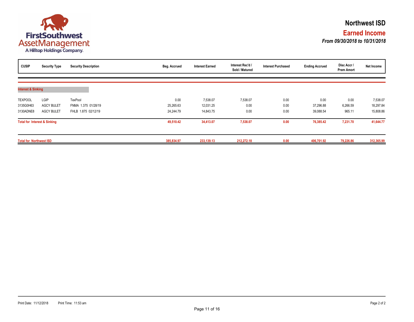

| <b>CUSIP</b>                   | <b>Security Type</b>                    | <b>Security Description</b> | Beg. Accrued | <b>Interest Earned</b> | Interest Rec'd /<br>Sold / Matured | <b>Interest Purchased</b> | <b>Ending Accrued</b> | Disc Accr /<br><b>Prem Amort</b> | Net Income |
|--------------------------------|-----------------------------------------|-----------------------------|--------------|------------------------|------------------------------------|---------------------------|-----------------------|----------------------------------|------------|
| <b>Interest &amp; Sinking</b>  |                                         |                             |              |                        |                                    |                           |                       |                                  |            |
|                                |                                         |                             |              |                        |                                    |                           |                       |                                  |            |
| <b>TEXPOOL</b>                 | LGIP                                    | <b>TexPool</b>              | 0.00         | 7,538.07               | 7,538.07                           | 0.00                      | 0.00                  | 0.00                             | 7,538.07   |
| 3135G0H63                      | <b>AGCY BULET</b>                       | FNMA 1.375 01/28/19         | 25,265.63    | 12,031.25              | 0.00                               | 0.00                      | 37,296.88             | 6,266.59                         | 18,297.84  |
| 3130ADNE8                      | <b>AGCY BULET</b>                       | FHLB 1.875 02/12/19         | 24,244.79    | 14,843.75              | 0.00                               | 0.00                      | 39,088.54             | 965.11                           | 15,808.86  |
|                                | <b>Total for Interest &amp; Sinking</b> |                             | 49,510.42    | 34,413.07              | 7,538.07                           | 0.00                      | 76,385.42             | 7,231.70                         | 41,644.77  |
| <b>Total for Northwest ISD</b> |                                         |                             | 385,834.97   | 233,139.13             | 212,272.18                         | 0.00                      | 406,701.92            | 79,226.86                        | 312,365.99 |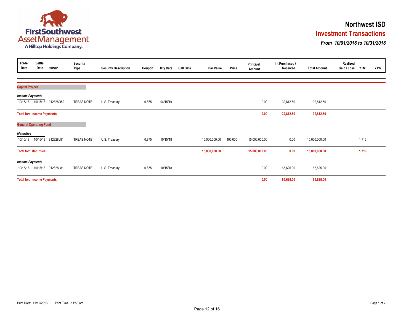

### **Investment Transactions Northwest ISD**

*From 10/01/2018 to 10/31/2018*

| Trade<br>Date          | Settle<br>Date                    | <b>CUSIP</b>                  | Security<br><b>Type</b> | <b>Security Description</b> | Coupon | <b>Mty Date</b> | <b>Call Date</b> | Par Value     | Price   | Principal<br>Amount | Int Purchased /<br>Received | <b>Total Amount</b> | Realized<br>Gain / Loss | <b>YTM</b> | <b>YTW</b> |
|------------------------|-----------------------------------|-------------------------------|-------------------------|-----------------------------|--------|-----------------|------------------|---------------|---------|---------------------|-----------------------------|---------------------|-------------------------|------------|------------|
|                        |                                   |                               |                         |                             |        |                 |                  |               |         |                     |                             |                     |                         |            |            |
| <b>Capital Project</b> |                                   |                               |                         |                             |        |                 |                  |               |         |                     |                             |                     |                         |            |            |
| <b>Income Payments</b> |                                   |                               |                         |                             |        |                 |                  |               |         |                     |                             |                     |                         |            |            |
|                        | 10/15/18  10/15/18                | 912828Q52                     | TREAS NOTE              | U.S. Treasury               | 0.875  | 04/15/19        |                  |               |         | 0.00                | 32,812.50                   | 32,812.50           |                         |            |            |
|                        | <b>Total for: Income Payments</b> |                               |                         |                             |        |                 |                  |               |         | 0.00                | 32,812.50                   | 32,812.50           |                         |            |            |
|                        | <b>General Operating Fund</b>     |                               |                         |                             |        |                 |                  |               |         |                     |                             |                     |                         |            |            |
| <b>Maturities</b>      |                                   |                               |                         |                             |        |                 |                  |               |         |                     |                             |                     |                         |            |            |
| 10/15/18               |                                   | 10/15/18 912828L81            | TREAS NOTE              | U.S. Treasury               | 0.875  | 10/15/18        |                  | 15,000,000.00 | 100.000 | 15,000,000.00       | 0.00                        | 15,000,000.00       |                         | 1.716      |            |
|                        | <b>Total for: Maturities</b>      |                               |                         |                             |        |                 |                  | 15,000,000.00 |         | 15,000,000.00       | 0.00                        | 15,000,000.00       |                         | 1.716      |            |
| <b>Income Payments</b> |                                   |                               |                         |                             |        |                 |                  |               |         |                     |                             |                     |                         |            |            |
|                        |                                   | 10/15/18  10/15/18  912828L81 | TREAS NOTE              | U.S. Treasury               | 0.875  | 10/15/18        |                  |               |         | 0.00                | 65,625.00                   | 65,625.00           |                         |            |            |
|                        | <b>Total for: Income Payments</b> |                               |                         |                             |        |                 |                  |               |         | 0.00                | 65,625.00                   | 65,625.00           |                         |            |            |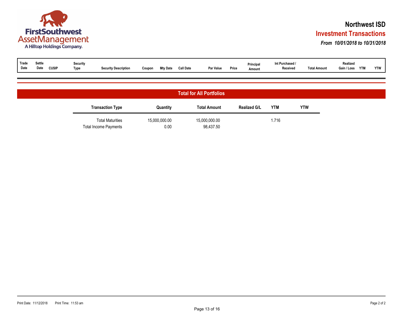

### **Investment Transactions Northwest ISD**

#### *From 10/01/2018 to 10/31/2018*

| Trade<br>Settle<br>Realized<br>Int Purchased /<br>Security<br>Principa.<br>Date<br>Date<br><b>CUSIP</b><br><b>YTM</b><br>Par Value<br><b>Total Amount</b><br><b>YTW</b><br>Call Date<br>Price<br><b>Mty Date</b><br>Type<br><b>Security Description</b><br>Gain / Loss<br>Received<br>Coupon<br>Amount |
|--------------------------------------------------------------------------------------------------------------------------------------------------------------------------------------------------------------------------------------------------------------------------------------------------------|
|--------------------------------------------------------------------------------------------------------------------------------------------------------------------------------------------------------------------------------------------------------------------------------------------------------|

|                                                         |                       | <b>Total for All Portfolios</b> |                     |            |            |
|---------------------------------------------------------|-----------------------|---------------------------------|---------------------|------------|------------|
| <b>Transaction Type</b>                                 | Quantity              | <b>Total Amount</b>             | <b>Realized G/L</b> | <b>YTM</b> | <b>YTW</b> |
| <b>Total Maturities</b><br><b>Total Income Payments</b> | 15,000,000.00<br>0.00 | 15,000,000.00<br>98,437.50      |                     | 1.716      |            |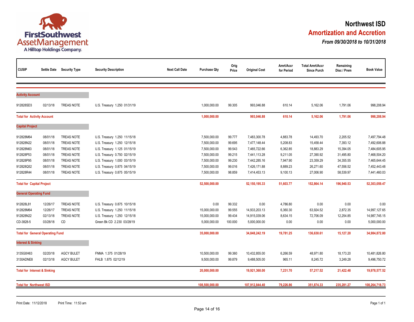

### **Amortization and Accretion Northwest ISD**

*From 09/30/2018 to 10/31/2018*

| <b>CUSIP</b>                            |                                         | Settle Date Security Type | <b>Security Description</b>  | <b>Next Call Date</b> | <b>Purchase Qty</b> | Orig<br>Price | <b>Original Cost</b> | Amrt/Accr<br>for Period | <b>Total Amrt/Accr</b><br><b>Since Purch</b> | Remaining<br>Disc / Prem | <b>Book Value</b> |
|-----------------------------------------|-----------------------------------------|---------------------------|------------------------------|-----------------------|---------------------|---------------|----------------------|-------------------------|----------------------------------------------|--------------------------|-------------------|
|                                         |                                         |                           |                              |                       |                     |               |                      |                         |                                              |                          |                   |
| <b>Activity Account</b>                 |                                         |                           |                              |                       |                     |               |                      |                         |                                              |                          |                   |
| 912828SD3                               | 02/13/18                                | TREAS NOTE                | U.S. Treasury 1.250 01/31/19 |                       | 1,000,000.00        | 99.305        | 993,046.88           | 610.14                  | 5,162.06                                     | 1,791.06                 | 998,208.94        |
| <b>Total for Activity Account</b>       |                                         |                           |                              |                       | 1,000,000.00        |               | 993,046.88           | 610.14                  | 5,162.06                                     | 1,791.06                 | 998,208.94        |
| <b>Capital Project</b>                  |                                         |                           |                              |                       |                     |               |                      |                         |                                              |                          |                   |
| 912828M64                               | 08/01/18                                | <b>TREAS NOTE</b>         | U.S. Treasury 1.250 11/15/18 |                       | 7,500,000.00        | 99.777        | 7,483,300.78         | 4,883.78                | 14,493.70                                    | 2,205.52                 | 7,497,794.48      |
| 912828N22                               | 08/01/18                                | <b>TREAS NOTE</b>         | U.S. Treasury 1.250 12/15/18 |                       | 7,500,000.00        | 99.695        | 7,477,148.44         | 5,208.83                | 15,458.44                                    | 7,393.12                 | 7,492,606.88      |
| 912828N63                               | 08/01/18                                | <b>TREAS NOTE</b>         | U.S. Treasury 1.125 01/15/19 |                       | 7,500,000.00        | 99.543        | 7,465,722.66         | 6,362.85                | 18,883.29                                    | 15,394.05                | 7,484,605.95      |
| 912828P53                               | 08/01/18                                | <b>TREAS NOTE</b>         | U.S. Treasury 0.750 02/15/19 |                       | 7,500,000.00        | 99.215        | 7,441,113.28         | 9,211.05                | 27,390.92                                    | 31,495.80                | 7,468,504.20      |
| 912828P95                               | 08/01/18                                | <b>TREAS NOTE</b>         | U.S. Treasury 1.000 03/15/19 |                       | 7,500,000.00        | 99.230        | 7,442,285.16         | 7,947.90                | 23,359.29                                    | 34,355.55                | 7,465,644.45      |
| 912828Q52                               | 08/01/18                                | <b>TREAS NOTE</b>         | U.S. Treasury 0.875 04/15/19 |                       | 7,500,000.00        | 99.016        | 7,426,171.88         | 8,889.23                | 26,271.60                                    | 47,556.52                | 7,452,443.48      |
| 912828R44                               | 08/01/18                                | <b>TREAS NOTE</b>         | U.S. Treasury 0.875 05/15/19 |                       | 7,500,000.00        | 98.859        | 7,414,453.13         | 9,100.13                | 27,006.90                                    | 58,539.97                | 7,441,460.03      |
| <b>Total for Capital Project</b>        |                                         |                           |                              |                       | 52,500,000.00       |               | 52, 150, 195.33      | 51,603.77               | 152,864.14                                   | 196,940.53               | 52,303,059.47     |
| <b>General Operating Fund</b>           |                                         |                           |                              |                       |                     |               |                      |                         |                                              |                          |                   |
| 912828L81                               | 12/26/17                                | <b>TREAS NOTE</b>         | U.S. Treasury 0.875 10/15/18 |                       | 0.00                | 99.332        | 0.00                 | 4,786.80                | 0.00                                         | 0.00                     | 0.00              |
| 912828M64                               | 12/26/17                                | <b>TREAS NOTE</b>         | U.S. Treasury 1.250 11/15/18 |                       | 15,000,000.00       | 99.555        | 14,933,203.13        | 6,360.30                | 63,924.52                                    | 2,872.35                 | 14,997,127.65     |
| 912828N22                               | 02/13/18                                | <b>TREAS NOTE</b>         | U.S. Treasury 1.250 12/15/18 |                       | 15,000,000.00       | 99.434        | 14,915,039.06        | 8,634.15                | 72,706.09                                    | 12,254.85                | 14,987,745.15     |
| CD-3828-5                               | 03/28/18                                | CD                        | Green Bk CD 2.230 03/28/19   |                       | 5,000,000.00        | 100.000       | 5,000,000.00         | 0.00                    | 0.00                                         | 0.00                     | 5,000,000.00      |
|                                         | <b>Total for General Operating Fund</b> |                           |                              |                       | 35,000,000.00       |               | 34,848,242.19        | 19,781.25               | 136,630.61                                   | 15,127.20                | 34,984,872.80     |
| <b>Interest &amp; Sinking</b>           |                                         |                           |                              |                       |                     |               |                      |                         |                                              |                          |                   |
| 3135G0H63                               | 02/20/18                                | <b>AGCY BULET</b>         | FNMA 1.375 01/28/19          |                       | 10,500,000.00       | 99.360        | 10,432,855.00        | 6,266.59                | 48,971.80                                    | 18,173.20                | 10,481,826.80     |
| 3130ADNE8                               | 02/13/18                                | <b>AGCY BULET</b>         | FHLB 1.875 02/12/19          |                       | 9,500,000.00        | 99.879        | 9,488,505.00         | 965.11                  | 8,245.72                                     | 3,249.28                 | 9,496,750.72      |
| <b>Total for Interest &amp; Sinking</b> |                                         |                           |                              |                       | 20,000,000.00       |               | 19,921,360.00        | 7,231.70                | 57,217.52                                    | 21,422.48                | 19,978,577.52     |
| <b>Total for Northwest ISD</b>          |                                         |                           |                              |                       | 108,500,000.00      |               | 107,912,844.40       | 79,226.86               | 351,874.33                                   | 235,281.27               | 108,264,718.73    |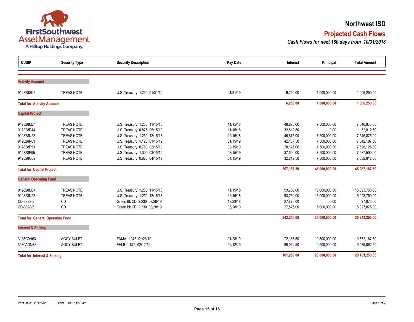

#### **Northwest ISD**

### **Projected Cash Flows**

*Cash Flows for next 180 days from 10/31/2018*

| <b>CUSIP</b>                            | <b>Security Type</b> | <b>Security Description</b>  | Pay Date      | Interest      | Principal     | <b>Total Amount</b> |
|-----------------------------------------|----------------------|------------------------------|---------------|---------------|---------------|---------------------|
|                                         |                      |                              |               |               |               |                     |
| <b>Activity Account</b>                 |                      |                              |               |               |               |                     |
| 912828SD3                               | <b>TREAS NOTE</b>    | U.S. Treasury 1.250 01/31/19 | 01/31/19      | 6,250.00      | 1,000,000.00  | 1,006,250.00        |
| <b>Total for Activity Account</b>       |                      |                              |               | 6,250.00      | 1,000,000.00  | 1,006,250.00        |
| <b>Capital Project</b>                  |                      |                              |               |               |               |                     |
| 912828M64                               | <b>TREAS NOTE</b>    | U.S. Treasury 1.250 11/15/18 | 11/15/18      | 46,875.00     | 7,500,000.00  | 7,546,875.00        |
| 912828R44                               | TREAS NOTE           | U.S. Treasury 0.875 05/15/19 | 11/15/18      | 32,812.50     | 0.00          | 32,812.50           |
| 912828N22                               | <b>TREAS NOTE</b>    | U.S. Treasury 1.250 12/15/18 | 12/15/18      | 46,875.00     | 7,500,000.00  | 7,546,875.00        |
| 912828N63                               | TREAS NOTE           | U.S. Treasury 1.125 01/15/19 | 01/15/19      | 42,187.50     | 7,500,000.00  | 7,542,187.50        |
| 912828P53                               | <b>TREAS NOTE</b>    | U.S. Treasury 0.750 02/15/19 | 02/15/19      | 28,125.00     | 7,500,000.00  | 7,528,125.00        |
| 912828P95                               | <b>TREAS NOTE</b>    | U.S. Treasury 1.000 03/15/19 | 03/15/19      | 37,500.00     | 7,500,000.00  | 7,537,500.00        |
| 912828Q52                               | <b>TREAS NOTE</b>    | U.S. Treasury 0.875 04/15/19 | 04/15/19      | 32,812.50     | 7,500,000.00  | 7,532,812.50        |
| <b>Total for Capital Project</b>        |                      |                              |               | 267, 187.50   | 45,000,000.00 | 45,267,187.50       |
| <b>General Operating Fund</b>           |                      |                              |               |               |               |                     |
| 912828M64                               | <b>TREAS NOTE</b>    | U.S. Treasury 1.250 11/15/18 | 11/15/18      | 93,750.00     | 15,000,000.00 | 15,093,750.00       |
| 912828N22                               | <b>TREAS NOTE</b>    | U.S. Treasury 1.250 12/15/18 | 12/15/18      | 93,750.00     | 15,000,000.00 | 15,093,750.00       |
| CD-3828-5                               | CD                   | Green Bk CD 2.230 03/28/19   | 12/28/18      | 27,875.00     | 0.00          | 27,875.00           |
| CD-3828-5                               | CD                   | Green Bk CD 2.230 03/28/19   | 03/28/19      | 27,875.00     | 5,000,000.00  | 5,027,875.00        |
| <b>Total for General Operating Fund</b> |                      |                              |               | 243,250.00    | 35,000,000.00 | 35,243,250.00       |
| <b>Interest &amp; Sinking</b>           |                      |                              |               |               |               |                     |
| 3135G0H63                               | <b>AGCY BULET</b>    | FNMA 1.375 01/28/19          | 01/28/19      | 72,187.50     | 10,500,000.00 | 10,572,187.50       |
| 3130ADNE8                               | <b>AGCY BULET</b>    | FHLB 1.875 02/12/19          | 02/12/19      | 89,062.50     | 9,500,000.00  | 9,589,062.50        |
| <b>Total for Interest &amp; Sinking</b> |                      | 161,250.00                   | 20,000,000.00 | 20,161,250.00 |               |                     |